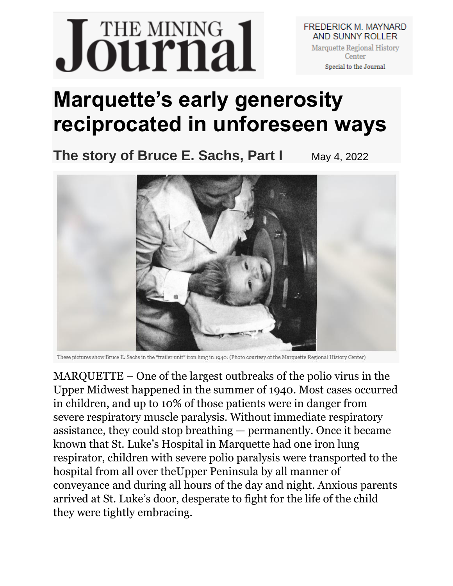## Journal

**FREDERICK M. MAYNARD** AND SUNNY ROLLER Marquette Regional History Center Special to the Journal

## **Marquette's early generosity reciprocated in unforeseen ways**

**The story of Bruce E. Sachs, Part I** May 4, 2022



These pictures show Bruce E. Sachs in the "trailer unit" iron lung in 1940. (Photo courtesy of the Marquette Regional History Center)

MARQUETTE – One of the largest outbreaks of the polio virus in the Upper Midwest happened in the summer of 1940. Most cases occurred in children, and up to 10% of those patients were in danger from severe respiratory muscle paralysis. Without immediate respiratory assistance, they could stop breathing — permanently. Once it became known that St. Luke's Hospital in Marquette had one iron lung respirator, children with severe polio paralysis were transported to the hospital from all over theUpper Peninsula by all manner of conveyance and during all hours of the day and night. Anxious parents arrived at St. Luke's door, desperate to fight for the life of the child they were tightly embracing.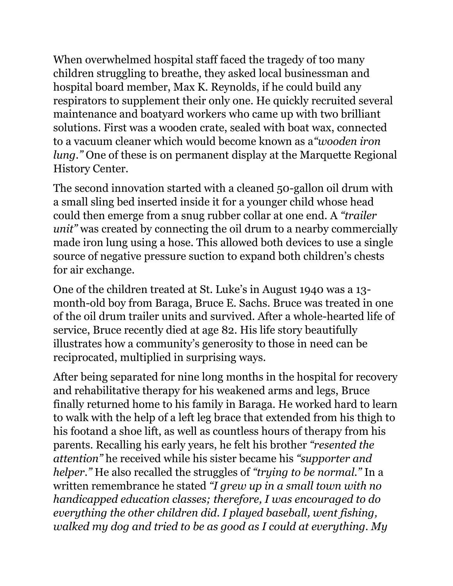When overwhelmed hospital staff faced the tragedy of too many children struggling to breathe, they asked local businessman and hospital board member, Max K. Reynolds, if he could build any respirators to supplement their only one. He quickly recruited several maintenance and boatyard workers who came up with two brilliant solutions. First was a wooden crate, sealed with boat wax, connected to a vacuum cleaner which would become known as a*"wooden iron lung."* One of these is on permanent display at the Marquette Regional History Center.

The second innovation started with a cleaned 50-gallon oil drum with a small sling bed inserted inside it for a younger child whose head could then emerge from a snug rubber collar at one end. A *"trailer unit"* was created by connecting the oil drum to a nearby commercially made iron lung using a hose. This allowed both devices to use a single source of negative pressure suction to expand both children's chests for air exchange.

One of the children treated at St. Luke's in August 1940 was a 13 month-old boy from Baraga, Bruce E. Sachs. Bruce was treated in one of the oil drum trailer units and survived. After a whole-hearted life of service, Bruce recently died at age 82. His life story beautifully illustrates how a community's generosity to those in need can be reciprocated, multiplied in surprising ways.

After being separated for nine long months in the hospital for recovery and rehabilitative therapy for his weakened arms and legs, Bruce finally returned home to his family in Baraga. He worked hard to learn to walk with the help of a left leg brace that extended from his thigh to his footand a shoe lift, as well as countless hours of therapy from his parents. Recalling his early years, he felt his brother *"resented the attention"* he received while his sister became his *"supporter and helper."* He also recalled the struggles of *"trying to be normal."* In a written remembrance he stated *"I grew up in a small town with no handicapped education classes; therefore, I was encouraged to do everything the other children did. I played baseball, went fishing, walked my dog and tried to be as good as I could at everything. My*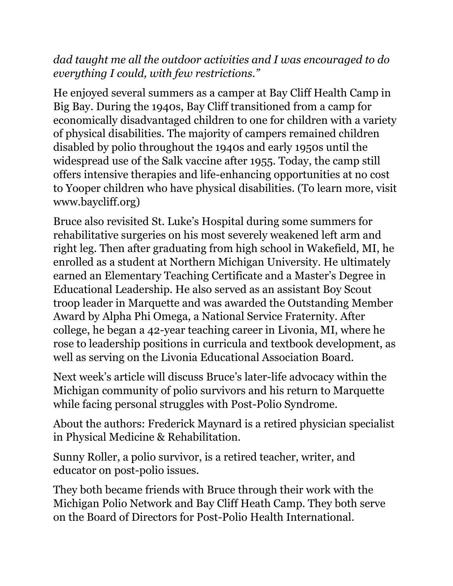*dad taught me all the outdoor activities and I was encouraged to do everything I could, with few restrictions."*

He enjoyed several summers as a camper at Bay Cliff Health Camp in Big Bay. During the 1940s, Bay Cliff transitioned from a camp for economically disadvantaged children to one for children with a variety of physical disabilities. The majority of campers remained children disabled by polio throughout the 1940s and early 1950s until the widespread use of the Salk vaccine after 1955. Today, the camp still offers intensive therapies and life-enhancing opportunities at no cost to Yooper children who have physical disabilities. (To learn more, visit www.baycliff.org)

Bruce also revisited St. Luke's Hospital during some summers for rehabilitative surgeries on his most severely weakened left arm and right leg. Then after graduating from high school in Wakefield, MI, he enrolled as a student at Northern Michigan University. He ultimately earned an Elementary Teaching Certificate and a Master's Degree in Educational Leadership. He also served as an assistant Boy Scout troop leader in Marquette and was awarded the Outstanding Member Award by Alpha Phi Omega, a National Service Fraternity. After college, he began a 42-year teaching career in Livonia, MI, where he rose to leadership positions in curricula and textbook development, as well as serving on the Livonia Educational Association Board.

Next week's article will discuss Bruce's later-life advocacy within the Michigan community of polio survivors and his return to Marquette while facing personal struggles with Post-Polio Syndrome.

About the authors: Frederick Maynard is a retired physician specialist in Physical Medicine & Rehabilitation.

Sunny Roller, a polio survivor, is a retired teacher, writer, and educator on post-polio issues.

They both became friends with Bruce through their work with the Michigan Polio Network and Bay Cliff Heath Camp. They both serve on the Board of Directors for Post-Polio Health International.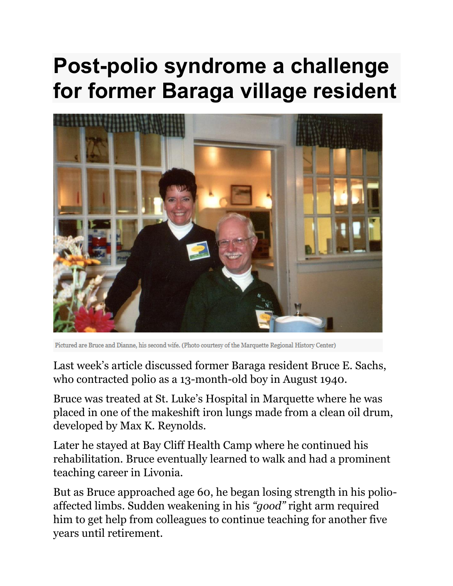## **Post-polio syndrome a challenge for former Baraga village resident**



Pictured are Bruce and Dianne, his second wife. (Photo courtesy of the Marquette Regional History Center)

Last week's article discussed former Baraga resident Bruce E. Sachs, who contracted polio as a 13-month-old boy in August 1940.

Bruce was treated at St. Luke's Hospital in Marquette where he was placed in one of the makeshift iron lungs made from a clean oil drum, developed by Max K. Reynolds.

Later he stayed at Bay Cliff Health Camp where he continued his rehabilitation. Bruce eventually learned to walk and had a prominent teaching career in Livonia.

But as Bruce approached age 60, he began losing strength in his polioaffected limbs. Sudden weakening in his *"good"* right arm required him to get help from colleagues to continue teaching for another five years until retirement.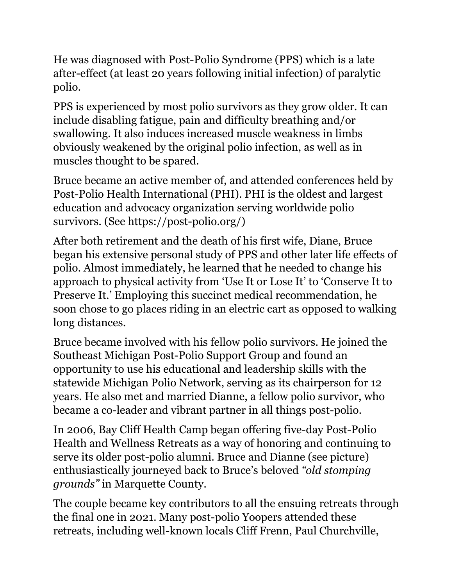He was diagnosed with Post-Polio Syndrome (PPS) which is a late after-effect (at least 20 years following initial infection) of paralytic polio.

PPS is experienced by most polio survivors as they grow older. It can include disabling fatigue, pain and difficulty breathing and/or swallowing. It also induces increased muscle weakness in limbs obviously weakened by the original polio infection, as well as in muscles thought to be spared.

Bruce became an active member of, and attended conferences held by Post-Polio Health International (PHI). PHI is the oldest and largest education and advocacy organization serving worldwide polio survivors. (See https://post-polio.org/)

After both retirement and the death of his first wife, Diane, Bruce began his extensive personal study of PPS and other later life effects of polio. Almost immediately, he learned that he needed to change his approach to physical activity from 'Use It or Lose It' to 'Conserve It to Preserve It.' Employing this succinct medical recommendation, he soon chose to go places riding in an electric cart as opposed to walking long distances.

Bruce became involved with his fellow polio survivors. He joined the Southeast Michigan Post-Polio Support Group and found an opportunity to use his educational and leadership skills with the statewide Michigan Polio Network, serving as its chairperson for 12 years. He also met and married Dianne, a fellow polio survivor, who became a co-leader and vibrant partner in all things post-polio.

In 2006, Bay Cliff Health Camp began offering five-day Post-Polio Health and Wellness Retreats as a way of honoring and continuing to serve its older post-polio alumni. Bruce and Dianne (see picture) enthusiastically journeyed back to Bruce's beloved *"old stomping grounds"* in Marquette County.

The couple became key contributors to all the ensuing retreats through the final one in 2021. Many post-polio Yoopers attended these retreats, including well-known locals Cliff Frenn, Paul Churchville,